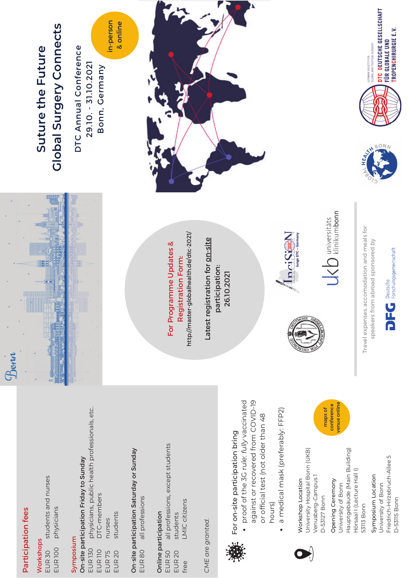## **Participation fees** Participation fees

Bonn

### Workshops Workshops

students and nurses students and nurses physicians physicians EUR<sub>100</sub> EUR<sub>30</sub> EUR 100 EUR 30

#### Symposium Symposium

#### physicians, public health professionals, etc. physicians, public health professionals, etc. On-site participation Friday to Sunday On-site participation Friday to Sunday DTC-members DTC-members students students nurses nurses **EUR 130** EUR 130 EUR<sub>110</sub> EUR 110 EUR<sub>20</sub> EUR<sub>75</sub> EUR 75 EUR 20

On-site participation Saturday or Sunday On-site participation Saturday or Sunday all professions all professions EUR<sub>80</sub> EUR 80

### Online participation Online participation

all professions, except students all professions, except students LMIC citizens LMIC citizens students students EUR<sub>50</sub> EUR 20 EUR 50 free

### CME are granted. *CME are granted.*



# For on-site participation bring For on-site participation bring

- proof of the 3G rule: fully vaccinated against or recovered from COVID-19 proof of the 3G rule: *fully* vaccinated against *or* recovered from COVID-19 or official test (not older than 48 *or* official test (not older than 48
- a medical mask (preferably: FFP2) a medical mask (preferably: FFP2) hours)

#### Jniversity Hospital Bonn (UKB) University Hospital Bonn (UKB) /enusberg-Campus1 Venusberg-Campus 1 **Norkshop Location** Workshop Location D-53127 Bonn D-53127 Bonn

#### Opening Ceremony Opening Ceremony University of Bonn University of Bonn

Hauptgebäude (Main Building) Hauptgebäude (Main Building) Hörsaal I (Lecture Hall I) Hörsaal I (Lecture Hall I) 53113 Bonn 53113 Bonn

#### Friedrich-Hirzebruch-Allee 5 Friedrich-Hirzebruch-Allee 5 Symposium Location Symposium Location University of Bonn University of Bonn **D-5315 Bonn** D-53115 Bonn





# **Global Surgery Connects Global Surgery Connects** Suture the Future **Suture the Future**

in-person in-person DTC Annual Conference DTC Annual Conference 29.10. - 31.10.2021 29.10. - 31.10.2021 Bonn, Germany Bonn, Germany

& online

http://master-globalhealth.de/dtc-2021/ http://master-globalhealth.de/dtc-2021/ For Programme Updates & For Programme Updates & **Registration Form:** Registration Form:

Latest registration for on-site Latest registration for on-site participation: participation: 26.10.2021 26.10.2021



Duniversitäts<br>
klinikumbonn

Travel expenses, accomodation and meals for Travel expenses, accomodation and meals for speakers from abroad sponsored by speakers from abroad sponsored by



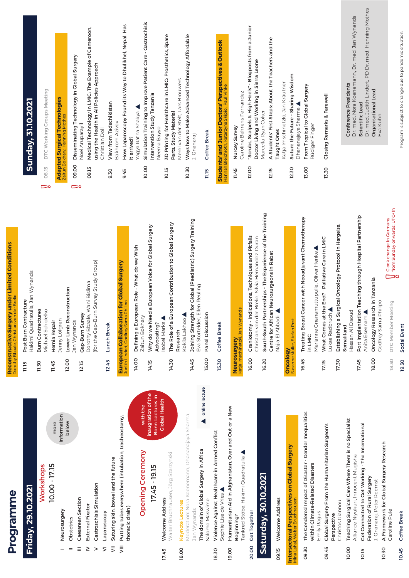|                             | Programme                                                                                  |              | Reconstructive Surgery under Limited Conditions<br>Dorothy Bbaale, Christian von der Brelie                   |                     |                                                                                                                     |
|-----------------------------|--------------------------------------------------------------------------------------------|--------------|---------------------------------------------------------------------------------------------------------------|---------------------|---------------------------------------------------------------------------------------------------------------------|
|                             | Friday, 29.10.2021                                                                         | 11.15        | Hakimi Quadratulla, Jan Wynands<br>Post Burn Contracture                                                      |                     | Sunday, 31.10.2021                                                                                                  |
|                             | Workshops                                                                                  | 11.30        | <b>Burn Contractures</b><br>Michael Schidelko                                                                 | 08.15<br>$\bigcirc$ | DTC Working Groups Meeting                                                                                          |
|                             | more<br>10.00 - 17.15                                                                      | 11.45        | Hernia Repair                                                                                                 |                     |                                                                                                                     |
| $=$                         | information<br>below<br>Neurosurgery<br>Obstetrics                                         | 12.00        | Lower Limb Reconstruction<br>Jenny Löfgren                                                                    |                     | <b>Adapted Surgical Technologies</b><br>tun Bokhary, Henning Mothe                                                  |
| Ξ                           | Caesarean Section                                                                          | <b>12.15</b> | Jan Wynands                                                                                                   | 09.00<br>ౚ          | Disseminating Technology in Global Surgery                                                                          |
| ≥                           | <b>External Fixator</b>                                                                    |              | Dorothy Bbaale, Wani Bislima<br>Cap-Burn Survey                                                               | 09.15               | Medical Technology in LMIC: The Example of Cameroon,<br>Noel Aruparayil                                             |
| $\geq$                      | Gastroschisis Simulation                                                                   |              | Survey Study Group)<br>(for the Gap-Burn                                                                      |                     | using the Health in All Policies Approach                                                                           |
| $\leq$                      | Laparoscopy                                                                                | 12.45        | Lunch Break                                                                                                   | 9.30                | View from Tadschikistan<br>Christian Doll                                                                           |
| $\bar{z}$<br>$\overline{5}$ | Putting tubes everywhere (intubation, tracheostomy,<br>Suturing skin, bowel and the future |              | for Global Surgery<br><b>European Collaboration</b>                                                           |                     | Bakhrom Azivov                                                                                                      |
|                             | thoracic drain)                                                                            |              | Judith Lindert, Godfrey Sama Philipo                                                                          | 9.45                | How Laparoscopy Found its Way to Dhulikhel, Nepal. Has<br>it arrived?                                               |
|                             | with the<br><b>Opening Ceremony</b>                                                        | 14.00        | Defining a European Role - What do we Wish<br>Zaitun Bokhary                                                  |                     | Yagya Ratna Shakya                                                                                                  |
|                             | inaugration of the<br>17.45 - 19.15                                                        | 14.15        | Why do we Need a European Voice for Global Surgery                                                            | 10.00               | Simulation Training to Improve Patient Care - Gastrochisis<br>Intervention Study Tanzania                           |
|                             | Bonn Lectures in<br><b>Clobal Health</b>                                                   |              | Isobel Marks<br>Advocating?                                                                                   |                     | Neema Bayyo                                                                                                         |
| 17.45                       | Walter Bruchhausen, Jörg Szarzynski<br>Welcome Address                                     | 14.30        | The Role of a European Contribution to Global Surgery                                                         | 10.15               | 3D Printing for Healthcare in LMIC: Prosthetics, Spare<br>Parts, Study Material                                     |
| 18.00                       | Keynote Lectures                                                                           |              | Research                                                                                                      |                     | Merel van der Stelt, Lars Brouwers                                                                                  |
|                             | Moderation: Nora Koenemann, Dhananajaya Sharma,<br>Jan Wynands                             | 14.45        | Joining Strength for Global (Paediatric) Surgery Training<br>Kokila Lakhoo                                    | 10.30               | Ways how to Make Advanced Technology Affordable<br>J. Cnanaraj                                                      |
|                             | online lecture<br>The domain of Global Surgery in Africa                                   |              | Eva Stortelder, Ellen Reuling                                                                                 |                     |                                                                                                                     |
|                             | Salome Maswime                                                                             | <b>15.00</b> | Panel Discussion                                                                                              | <b>ECTL</b>         | Coffee Break                                                                                                        |
| 18.30                       | Violence Against Healthcare in Armed Conflict<br>Sophie Lisa de Vries                      | 15.30        | Coffee Break                                                                                                  |                     | <b>Students' and Junior Doctors' Perspectives &amp; Outlook</b><br>Hannah Bleichroth, Katarzyna Skipiol, Paul Vinke |
| 19.00                       | Humanitarian Aid in Afghanistan. Over and Out or a New                                     |              |                                                                                                               |                     |                                                                                                                     |
|                             | Tankred Stöbe, Hakimi Quadratulla<br>Beginning?                                            |              | Katja Imschinetzki, Jan Wynands<br>Neurosurgery                                                               | 11.45               | Caroline Behrens Fernandez<br>Nurcey Survey                                                                         |
| 20.00                       | <b>Cet Together</b>                                                                        | 16.00        | Craniotomy - Indications, Techniques and Pitfalls                                                             | 12.00               | "Scrubs, Scalpels & High Heels" - Blogposts from a Junior                                                           |
|                             | Saturday, 30.10.2021                                                                       | 16.20        | South-South Partnerships - The Experience of the Training<br>Christian von der Brelie, Silvia Hernandez-Duran |                     | Doctor Living and Working in Sierra Leone<br>Marcella Ryan Coker                                                    |
| 09.15                       | Welcome Address                                                                            |              | Centre for African Neurosurgeons in Rabat<br>Najia El Abbadi                                                  | 12.15               | A Students' First Steps: About the Teachers and the<br>Taught Ones                                                  |
|                             |                                                                                            | Oncology     |                                                                                                               |                     | Katja Imschinetzki, Jan Kräutner                                                                                    |
|                             | <b>Intersectoral Perspectives on Global Surgery</b><br>Mina Lahal, Walter Bruchhausen      |              | Susanne Müller, Stefan Post                                                                                   | 12.30               | Suture the Future - Sharing Wisdom                                                                                  |
| 09.30                       | The Gendered Impact of Disaster - Gender Inequalities                                      | 16.45        | Treating Breast Cancer with Neoadjuvant Chemotherapy<br>in LMIC                                               | 13.00               | From Tropical to Global Surgery<br>Dhananajaya Sharma                                                               |
|                             | within Climate-Related Disasters<br>Emily Ragus                                            |              | Marianne Gnanamuttupulle, Oliver Henke                                                                        |                     | Rüdiger Finger                                                                                                      |
| 09.45                       | Global Surgery From the Humanitarian Surgeon's<br>Perspective                              | 17.15        | What Comes at the End? - Palliative Care in LMIC<br>Lukas Radbruch                                            | 13.30               | Closing Remarks & Farewell                                                                                          |
|                             | Christos Giannou                                                                           | 17.30        | Establishing a Surgical Oncology Protocol in Hargeisa                                                         |                     |                                                                                                                     |
| 10.00                       | Teaching Surgical Care Where There is no Specialist<br>Alliance Niyukuri, Innocent Mugisha |              | Hassan Ali Daoud<br>Somaliland                                                                                |                     | Dr. med. Nora Koenemann, Dr. med. Jan Wynands<br>Conference Presidents                                              |
| 10.15                       | Get Connected to Get Working - The International                                           | 17.45        | Port Implantation Teaching through Hospital Partnership<br>Anita Eseenam                                      |                     | Dr. med. Judith Lindert, PD Dr. med. Henning Mothes<br>Scientific Lead                                              |
|                             | Federation of Rural Surgery<br>J. Gnanaraj, Peter Reemst                                   | 18.00        | Oncology Research in Tanzania                                                                                 |                     | Organisational Lead<br>Eva Kuhn                                                                                     |
| 10.30                       | A Framework for Global Surgery Research<br>Caroline Pule                                   |              | Godfrey Sama Philipo                                                                                          |                     |                                                                                                                     |
|                             |                                                                                            | 18.30        | $\bigcup_{\mathbf{O}}$ Clock change in Germany<br>from Sunday onwards: UTC+1h<br>DTC Member Meeting           |                     |                                                                                                                     |

19.30 Social Event

Social Event